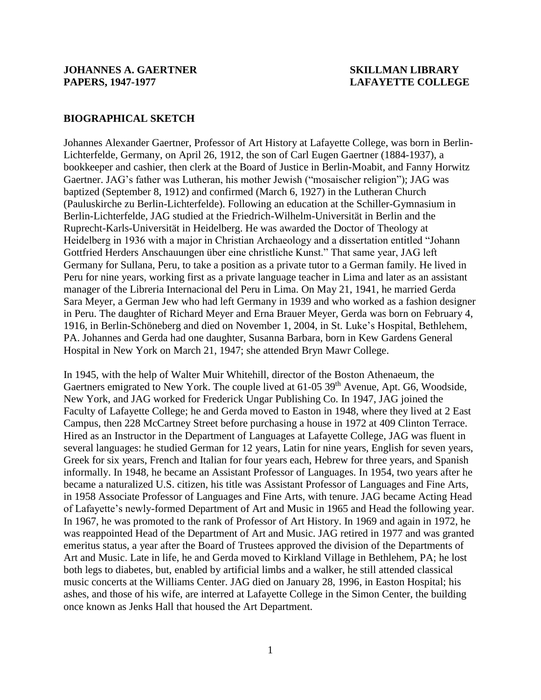## **BIOGRAPHICAL SKETCH**

Johannes Alexander Gaertner, Professor of Art History at Lafayette College, was born in Berlin-Lichterfelde, Germany, on April 26, 1912, the son of Carl Eugen Gaertner (1884-1937), a bookkeeper and cashier, then clerk at the Board of Justice in Berlin-Moabit, and Fanny Horwitz Gaertner. JAG's father was Lutheran, his mother Jewish ("mosaischer religion"); JAG was baptized (September 8, 1912) and confirmed (March 6, 1927) in the Lutheran Church (Pauluskirche zu Berlin-Lichterfelde). Following an education at the Schiller-Gymnasium in Berlin-Lichterfelde, JAG studied at the Friedrich-Wilhelm-Universität in Berlin and the Ruprecht-Karls-Universität in Heidelberg. He was awarded the Doctor of Theology at Heidelberg in 1936 with a major in Christian Archaeology and a dissertation entitled "Johann Gottfried Herders Anschauungen über eine christliche Kunst." That same year, JAG left Germany for Sullana, Peru, to take a position as a private tutor to a German family. He lived in Peru for nine years, working first as a private language teacher in Lima and later as an assistant manager of the Libreria Internacional del Peru in Lima. On May 21, 1941, he married Gerda Sara Meyer, a German Jew who had left Germany in 1939 and who worked as a fashion designer in Peru. The daughter of Richard Meyer and Erna Brauer Meyer, Gerda was born on February 4, 1916, in Berlin-Schöneberg and died on November 1, 2004, in St. Luke's Hospital, Bethlehem, PA. Johannes and Gerda had one daughter, Susanna Barbara, born in Kew Gardens General Hospital in New York on March 21, 1947; she attended Bryn Mawr College.

In 1945, with the help of Walter Muir Whitehill, director of the Boston Athenaeum, the Gaertners emigrated to New York. The couple lived at 61-05 39<sup>th</sup> Avenue, Apt. G6, Woodside, New York, and JAG worked for Frederick Ungar Publishing Co. In 1947, JAG joined the Faculty of Lafayette College; he and Gerda moved to Easton in 1948, where they lived at 2 East Campus, then 228 McCartney Street before purchasing a house in 1972 at 409 Clinton Terrace. Hired as an Instructor in the Department of Languages at Lafayette College, JAG was fluent in several languages: he studied German for 12 years, Latin for nine years, English for seven years, Greek for six years, French and Italian for four years each, Hebrew for three years, and Spanish informally. In 1948, he became an Assistant Professor of Languages. In 1954, two years after he became a naturalized U.S. citizen, his title was Assistant Professor of Languages and Fine Arts, in 1958 Associate Professor of Languages and Fine Arts, with tenure. JAG became Acting Head of Lafayette's newly-formed Department of Art and Music in 1965 and Head the following year. In 1967, he was promoted to the rank of Professor of Art History. In 1969 and again in 1972, he was reappointed Head of the Department of Art and Music. JAG retired in 1977 and was granted emeritus status, a year after the Board of Trustees approved the division of the Departments of Art and Music. Late in life, he and Gerda moved to Kirkland Village in Bethlehem, PA; he lost both legs to diabetes, but, enabled by artificial limbs and a walker, he still attended classical music concerts at the Williams Center. JAG died on January 28, 1996, in Easton Hospital; his ashes, and those of his wife, are interred at Lafayette College in the Simon Center, the building once known as Jenks Hall that housed the Art Department.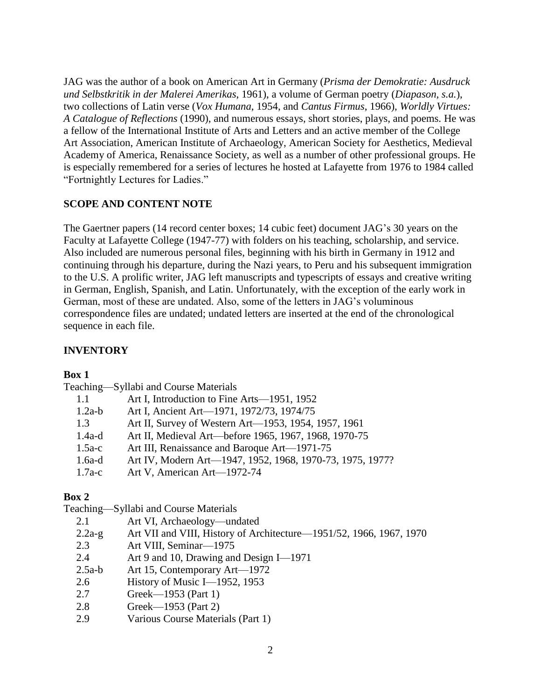JAG was the author of a book on American Art in Germany (*Prisma der Demokratie: Ausdruck und Selbstkritik in der Malerei Amerikas*, 1961), a volume of German poetry (*Diapason, s.a.*), two collections of Latin verse (*Vox Humana*, 1954, and *Cantus Firmus*, 1966), *Worldly Virtues: A Catalogue of Reflections* (1990), and numerous essays, short stories, plays, and poems. He was a fellow of the International Institute of Arts and Letters and an active member of the College Art Association, American Institute of Archaeology, American Society for Aesthetics, Medieval Academy of America, Renaissance Society, as well as a number of other professional groups. He is especially remembered for a series of lectures he hosted at Lafayette from 1976 to 1984 called "Fortnightly Lectures for Ladies."

# **SCOPE AND CONTENT NOTE**

The Gaertner papers (14 record center boxes; 14 cubic feet) document JAG's 30 years on the Faculty at Lafayette College (1947-77) with folders on his teaching, scholarship, and service. Also included are numerous personal files, beginning with his birth in Germany in 1912 and continuing through his departure, during the Nazi years, to Peru and his subsequent immigration to the U.S. A prolific writer, JAG left manuscripts and typescripts of essays and creative writing in German, English, Spanish, and Latin. Unfortunately, with the exception of the early work in German, most of these are undated. Also, some of the letters in JAG's voluminous correspondence files are undated; undated letters are inserted at the end of the chronological sequence in each file.

## **INVENTORY**

## **Box 1**

Teaching—Syllabi and Course Materials

| 1.1      | Art I, Introduction to Fine Arts—1951, 1952               |
|----------|-----------------------------------------------------------|
| $1.2a-b$ | Art I, Ancient Art-1971, 1972/73, 1974/75                 |
| 1.3      | Art II, Survey of Western Art—1953, 1954, 1957, 1961      |
| $1.4a-d$ | Art II, Medieval Art—before 1965, 1967, 1968, 1970-75     |
| $1.5a-c$ | Art III, Renaissance and Baroque Art—1971-75              |
| $1.6a-d$ | Art IV, Modern Art-1947, 1952, 1968, 1970-73, 1975, 1977? |
| $1.7a-c$ | Art V, American Art-1972-74                               |

# **Box 2**

Teaching—Syllabi and Course Materials

| 2.1 | Art VI, Archaeology—undated |  |
|-----|-----------------------------|--|
|     |                             |  |

- 2.2a-g Art VII and VIII, History of Architecture—1951/52, 1966, 1967, 1970
- 2.3 Art VIII, Seminar—1975
- 2.4 Art 9 and 10, Drawing and Design I—1971
- 2.5a-b Art 15, Contemporary Art—1972
- 2.6 History of Music I—1952, 1953
- 2.7 Greek—1953 (Part 1)
- 2.8 Greek—1953 (Part 2)
- 2.9 Various Course Materials (Part 1)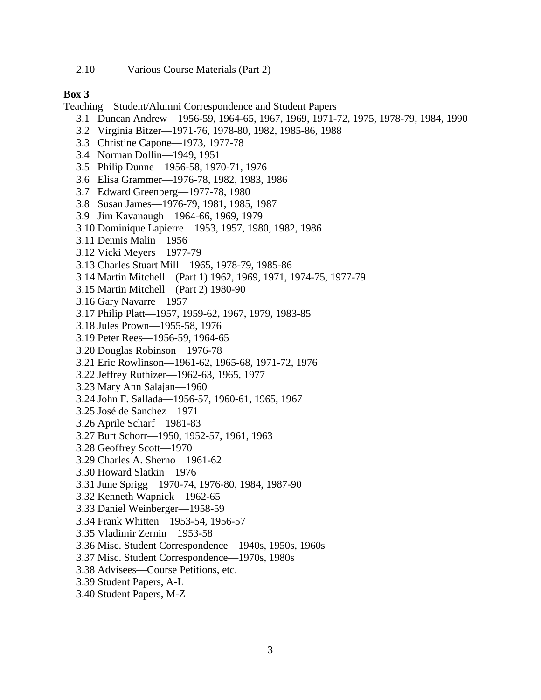2.10 Various Course Materials (Part 2)

## **Box 3**

Teaching—Student/Alumni Correspondence and Student Papers

- 3.1 Duncan Andrew—1956-59, 1964-65, 1967, 1969, 1971-72, 1975, 1978-79, 1984, 1990
- 3.2 Virginia Bitzer—1971-76, 1978-80, 1982, 1985-86, 1988
- 3.3 Christine Capone—1973, 1977-78
- 3.4 Norman Dollin—1949, 1951
- 3.5 Philip Dunne—1956-58, 1970-71, 1976
- 3.6 Elisa Grammer—1976-78, 1982, 1983, 1986
- 3.7 Edward Greenberg—1977-78, 1980
- 3.8 Susan James—1976-79, 1981, 1985, 1987
- 3.9 Jim Kavanaugh—1964-66, 1969, 1979
- 3.10 Dominique Lapierre—1953, 1957, 1980, 1982, 1986
- 3.11 Dennis Malin—1956
- 3.12 Vicki Meyers—1977-79
- 3.13 Charles Stuart Mill—1965, 1978-79, 1985-86
- 3.14 Martin Mitchell—(Part 1) 1962, 1969, 1971, 1974-75, 1977-79
- 3.15 Martin Mitchell—(Part 2) 1980-90
- 3.16 Gary Navarre—1957
- 3.17 Philip Platt—1957, 1959-62, 1967, 1979, 1983-85
- 3.18 Jules Prown—1955-58, 1976
- 3.19 Peter Rees—1956-59, 1964-65
- 3.20 Douglas Robinson—1976-78
- 3.21 Eric Rowlinson—1961-62, 1965-68, 1971-72, 1976
- 3.22 Jeffrey Ruthizer—1962-63, 1965, 1977
- 3.23 Mary Ann Salajan—1960
- 3.24 John F. Sallada—1956-57, 1960-61, 1965, 1967
- 3.25 José de Sanchez—1971
- 3.26 Aprile Scharf—1981-83
- 3.27 Burt Schorr—1950, 1952-57, 1961, 1963
- 3.28 Geoffrey Scott—1970
- 3.29 Charles A. Sherno—1961-62
- 3.30 Howard Slatkin—1976
- 3.31 June Sprigg—1970-74, 1976-80, 1984, 1987-90
- 3.32 Kenneth Wapnick—1962-65
- 3.33 Daniel Weinberger—1958-59
- 3.34 Frank Whitten—1953-54, 1956-57
- 3.35 Vladimir Zernin—1953-58
- 3.36 Misc. Student Correspondence—1940s, 1950s, 1960s
- 3.37 Misc. Student Correspondence—1970s, 1980s
- 3.38 Advisees—Course Petitions, etc.
- 3.39 Student Papers, A-L
- 3.40 Student Papers, M-Z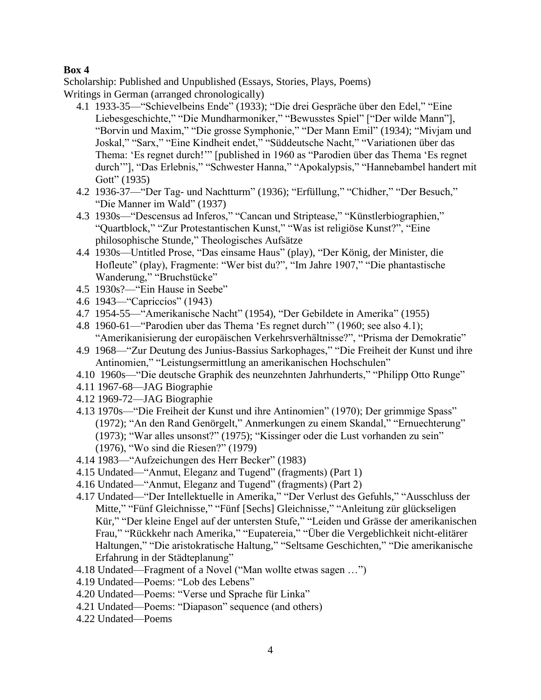Scholarship: Published and Unpublished (Essays, Stories, Plays, Poems) Writings in German (arranged chronologically)

- 4.1 1933-35—"Schievelbeins Ende" (1933); "Die drei Gespräche über den Edel," "Eine Liebesgeschichte," "Die Mundharmoniker," "Bewusstes Spiel" ["Der wilde Mann"], "Borvin und Maxim," "Die grosse Symphonie," "Der Mann Emil" (1934); "Mivjam und Joskal," "Sarx," "Eine Kindheit endet," "Süddeutsche Nacht," "Variationen über das Thema: 'Es regnet durch!'" [published in 1960 as "Parodien über das Thema 'Es regnet durch'"], "Das Erlebnis," "Schwester Hanna," "Apokalypsis," "Hannebambel handert mit Gott" (1935)
- 4.2 1936-37—"Der Tag- und Nachtturm" (1936); "Erfüllung," "Chidher," "Der Besuch," "Die Manner im Wald" (1937)
- 4.3 1930s—"Descensus ad Inferos," "Cancan und Striptease," "Künstlerbiographien," "Quartblock," "Zur Protestantischen Kunst," "Was ist religiöse Kunst?", "Eine philosophische Stunde," Theologisches Aufsätze
- 4.4 1930s—Untitled Prose, "Das einsame Haus" (play), "Der König, der Minister, die Hofleute" (play), Fragmente: "Wer bist du?", "Im Jahre 1907," "Die phantastische Wanderung," "Bruchstücke"
- 4.5 1930s?—"Ein Hause in Seebe"
- 4.6 1943—"Capriccios" (1943)
- 4.7 1954-55—"Amerikanische Nacht" (1954), "Der Gebildete in Amerika" (1955)
- 4.8 1960-61—"Parodien uber das Thema 'Es regnet durch'" (1960; see also 4.1); "Amerikanisierung der europäischen Verkehrsverhältnisse?", "Prisma der Demokratie"
- 4.9 1968—"Zur Deutung des Junius-Bassius Sarkophages," "Die Freiheit der Kunst und ihre Antinomien," "Leistungsermittlung an amerikanischen Hochschulen"
- 4.10 1960s—"Die deutsche Graphik des neunzehnten Jahrhunderts," "Philipp Otto Runge"
- 4.11 1967-68—JAG Biographie
- 4.12 1969-72—JAG Biographie
- 4.13 1970s—"Die Freiheit der Kunst und ihre Antinomien" (1970); Der grimmige Spass" (1972); "An den Rand Genörgelt," Anmerkungen zu einem Skandal," "Ernuechterung" (1973); "War alles unsonst?" (1975); "Kissinger oder die Lust vorhanden zu sein" (1976), "Wo sind die Riesen?" (1979)
- 4.14 1983—"Aufzeichungen des Herr Becker" (1983)
- 4.15 Undated—"Anmut, Eleganz and Tugend" (fragments) (Part 1)
- 4.16 Undated—"Anmut, Eleganz and Tugend" (fragments) (Part 2)
- 4.17 Undated—"Der Intellektuelle in Amerika," "Der Verlust des Gefuhls," "Ausschluss der Mitte," "Fünf Gleichnisse," "Fünf [Sechs] Gleichnisse," "Anleitung zür glückseligen Kür," "Der kleine Engel auf der untersten Stufe," "Leiden und Grässe der amerikanischen Frau," "Rückkehr nach Amerika," "Eupatereia," "Über die Vergeblichkeit nicht-elitärer Haltungen," "Die aristokratische Haltung," "Seltsame Geschichten," "Die amerikanische Erfahrung in der Städteplanung"
- 4.18 Undated—Fragment of a Novel ("Man wollte etwas sagen …")
- 4.19 Undated—Poems: "Lob des Lebens"
- 4.20 Undated—Poems: "Verse und Sprache für Linka"
- 4.21 Undated—Poems: "Diapason" sequence (and others)
- 4.22 Undated—Poems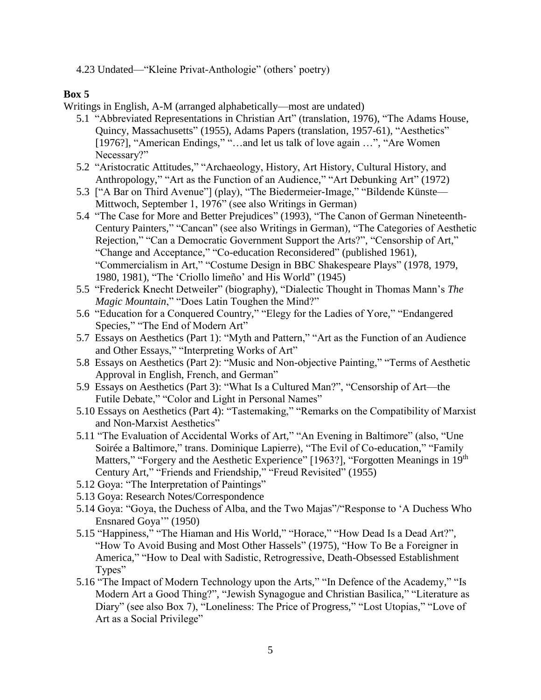4.23 Undated—"Kleine Privat-Anthologie" (others' poetry)

# **Box 5**

Writings in English, A-M (arranged alphabetically—most are undated)

- 5.1 "Abbreviated Representations in Christian Art" (translation, 1976), "The Adams House, Quincy, Massachusetts" (1955), Adams Papers (translation, 1957-61), "Aesthetics" [1976?], "American Endings," "...and let us talk of love again ...", "Are Women" Necessary?"
- 5.2 "Aristocratic Attitudes," "Archaeology, History, Art History, Cultural History, and Anthropology," "Art as the Function of an Audience," "Art Debunking Art" (1972)
- 5.3 ["A Bar on Third Avenue"] (play), "The Biedermeier-Image," "Bildende Künste— Mittwoch, September 1, 1976" (see also Writings in German)
- 5.4 "The Case for More and Better Prejudices" (1993), "The Canon of German Nineteenth-Century Painters," "Cancan" (see also Writings in German), "The Categories of Aesthetic Rejection," "Can a Democratic Government Support the Arts?", "Censorship of Art," "Change and Acceptance," "Co-education Reconsidered" (published 1961), "Commercialism in Art," "Costume Design in BBC Shakespeare Plays" (1978, 1979, 1980, 1981), "The 'Criollo limeño' and His World" (1945)
- 5.5 "Frederick Knecht Detweiler" (biography), "Dialectic Thought in Thomas Mann's *The Magic Mountain*," "Does Latin Toughen the Mind?"
- 5.6 "Education for a Conquered Country," "Elegy for the Ladies of Yore," "Endangered Species," "The End of Modern Art"
- 5.7 Essays on Aesthetics (Part 1): "Myth and Pattern," "Art as the Function of an Audience and Other Essays," "Interpreting Works of Art"
- 5.8 Essays on Aesthetics (Part 2): "Music and Non-objective Painting," "Terms of Aesthetic Approval in English, French, and German"
- 5.9 Essays on Aesthetics (Part 3): "What Is a Cultured Man?", "Censorship of Art—the Futile Debate," "Color and Light in Personal Names"
- 5.10 Essays on Aesthetics (Part 4): "Tastemaking," "Remarks on the Compatibility of Marxist and Non-Marxist Aesthetics"
- 5.11 "The Evaluation of Accidental Works of Art," "An Evening in Baltimore" (also, "Une Soirée a Baltimore," trans. Dominique Lapierre), "The Evil of Co-education," "Family Matters," "Forgery and the Aesthetic Experience" [1963?], "Forgotten Meanings in 19<sup>th</sup> Century Art," "Friends and Friendship," "Freud Revisited" (1955)
- 5.12 Goya: "The Interpretation of Paintings"
- 5.13 Goya: Research Notes/Correspondence
- 5.14 Goya: "Goya, the Duchess of Alba, and the Two Majas"/"Response to 'A Duchess Who Ensnared Goya'" (1950)
- 5.15 "Happiness," "The Hiaman and His World," "Horace," "How Dead Is a Dead Art?", "How To Avoid Busing and Most Other Hassels" (1975), "How To Be a Foreigner in America," "How to Deal with Sadistic, Retrogressive, Death-Obsessed Establishment Types"
- 5.16 "The Impact of Modern Technology upon the Arts," "In Defence of the Academy," "Is Modern Art a Good Thing?", "Jewish Synagogue and Christian Basilica," "Literature as Diary" (see also Box 7), "Loneliness: The Price of Progress," "Lost Utopias," "Love of Art as a Social Privilege"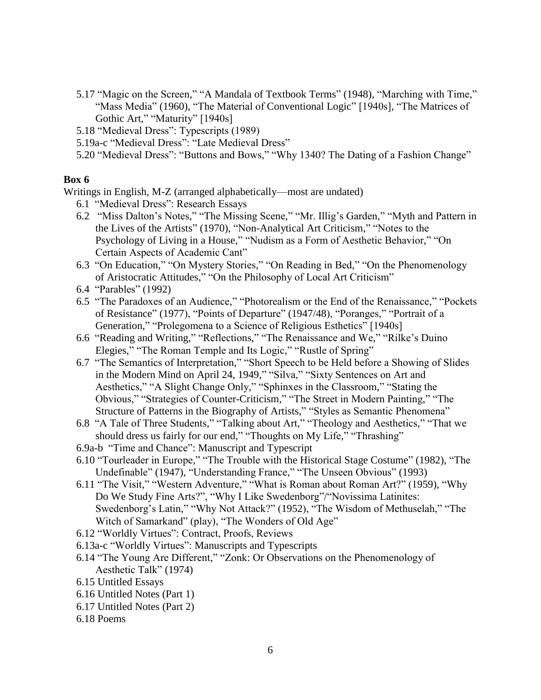- 5.17 "Magic on the Screen," "A Mandala of Textbook Terms" (1948), "Marching with Time," "Mass Media" (1960), "The Material of Conventional Logic" [1940s], "The Matrices of Gothic Art," "Maturity" [1940s]
- 5.18 "Medieval Dress": Typescripts (1989)
- 5.19a-c "Medieval Dress": "Late Medieval Dress"
- 5.20 "Medieval Dress": "Buttons and Bows," "Why 1340? The Dating of a Fashion Change"

Writings in English, M-Z (arranged alphabetically—most are undated)

- 6.1 "Medieval Dress": Research Essays
- 6.2 "Miss Dalton's Notes," "The Missing Scene," "Mr. Illig's Garden," "Myth and Pattern in the Lives of the Artists" (1970), "Non-Analytical Art Criticism," "Notes to the Psychology of Living in a House," "Nudism as a Form of Aesthetic Behavior," "On Certain Aspects of Academic Cant"
- 6.3 "On Education," "On Mystery Stories," "On Reading in Bed," "On the Phenomenology of Aristocratic Attitudes," "On the Philosophy of Local Art Criticism"
- 6.4 "Parables" (1992)
- 6.5 "The Paradoxes of an Audience," "Photorealism or the End of the Renaissance," "Pockets of Resistance" (1977), "Points of Departure" (1947/48), "Poranges," "Portrait of a Generation," "Prolegomena to a Science of Religious Esthetics" [1940s]
- 6.6 "Reading and Writing," "Reflections," "The Renaissance and We," "Rilke's Duino Elegies," "The Roman Temple and Its Logic," "Rustle of Spring"
- 6.7 "The Semantics of Interpretation," "Short Speech to be Held before a Showing of Slides in the Modern Mind on April 24, 1949," "Silva," "Sixty Sentences on Art and Aesthetics," "A Slight Change Only," "Sphinxes in the Classroom," "Stating the Obvious," "Strategies of Counter-Criticism," "The Street in Modern Painting," "The Structure of Patterns in the Biography of Artists," "Styles as Semantic Phenomena"
- 6.8 "A Tale of Three Students," "Talking about Art," "Theology and Aesthetics," "That we should dress us fairly for our end," "Thoughts on My Life," "Thrashing"
- 6.9a-b "Time and Chance": Manuscript and Typescript
- 6.10 "Tourleader in Europe," "The Trouble with the Historical Stage Costume" (1982), "The Undefinable" (1947), "Understanding France," "The Unseen Obvious" (1993)
- 6.11 "The Visit," "Western Adventure," "What is Roman about Roman Art?" (1959), "Why Do We Study Fine Arts?", "Why I Like Swedenborg"/"Novissima Latinites: Swedenborg's Latin," "Why Not Attack?" (1952), "The Wisdom of Methuselah," "The Witch of Samarkand" (play), "The Wonders of Old Age"
- 6.12 "Worldly Virtues": Contract, Proofs, Reviews
- 6.13a-c "Worldly Virtues": Manuscripts and Typescripts
- 6.14 "The Young Are Different," "Zonk: Or Observations on the Phenomenology of Aesthetic Talk" (1974)
- 6.15 Untitled Essays
- 6.16 Untitled Notes (Part 1)
- 6.17 Untitled Notes (Part 2)
- 6.18 Poems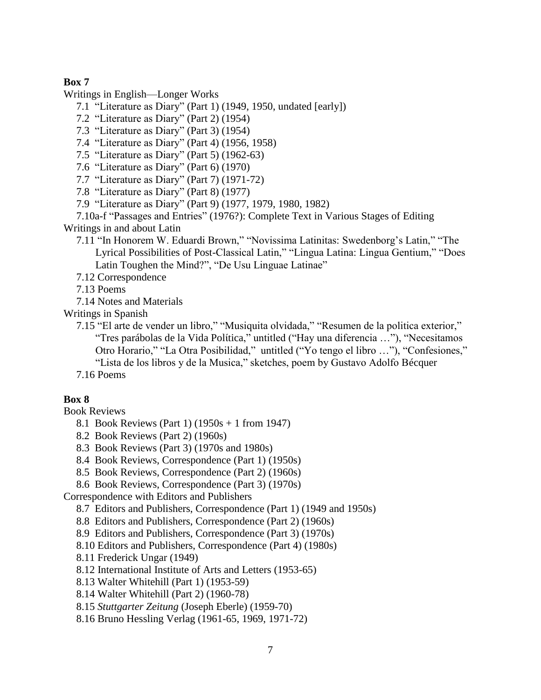Writings in English—Longer Works

7.1 "Literature as Diary" (Part 1) (1949, 1950, undated [early])

7.2 "Literature as Diary" (Part 2) (1954)

7.3 "Literature as Diary" (Part 3) (1954)

7.4 "Literature as Diary" (Part 4) (1956, 1958)

7.5 "Literature as Diary" (Part 5) (1962-63)

7.6 "Literature as Diary" (Part 6) (1970)

7.7 "Literature as Diary" (Part 7) (1971-72)

7.8 "Literature as Diary" (Part 8) (1977)

7.9 "Literature as Diary" (Part 9) (1977, 1979, 1980, 1982)

7.10a-f "Passages and Entries" (1976?): Complete Text in Various Stages of Editing Writings in and about Latin

7.11 "In Honorem W. Eduardi Brown," "Novissima Latinitas: Swedenborg's Latin," "The Lyrical Possibilities of Post-Classical Latin," "Lingua Latina: Lingua Gentium," "Does Latin Toughen the Mind?", "De Usu Linguae Latinae"

7.12 Correspondence

7.13 Poems

7.14 Notes and Materials

Writings in Spanish

7.15 "El arte de vender un libro," "Musiquita olvidada," "Resumen de la politica exterior," "Tres parábolas de la Vida Polίtica," untitled ("Hay una diferencia …"), "Necesitamos Otro Horario," "La Otra Posibilidad," untitled ("Yo tengo el libro …"), "Confesiones," "Lista de los libros y de la Musica," sketches, poem by Gustavo Adolfo Bécquer

7.16 Poems

## **Box 8**

Book Reviews

- 8.1 Book Reviews (Part 1) (1950s + 1 from 1947)
- 8.2 Book Reviews (Part 2) (1960s)
- 8.3 Book Reviews (Part 3) (1970s and 1980s)

8.4 Book Reviews, Correspondence (Part 1) (1950s)

- 8.5 Book Reviews, Correspondence (Part 2) (1960s)
- 8.6 Book Reviews, Correspondence (Part 3) (1970s)

Correspondence with Editors and Publishers

8.7 Editors and Publishers, Correspondence (Part 1) (1949 and 1950s)

8.8 Editors and Publishers, Correspondence (Part 2) (1960s)

8.9 Editors and Publishers, Correspondence (Part 3) (1970s)

8.10 Editors and Publishers, Correspondence (Part 4) (1980s)

8.11 Frederick Ungar (1949)

8.12 International Institute of Arts and Letters (1953-65)

8.13 Walter Whitehill (Part 1) (1953-59)

8.14 Walter Whitehill (Part 2) (1960-78)

8.15 *Stuttgarter Zeitung* (Joseph Eberle) (1959-70)

8.16 Bruno Hessling Verlag (1961-65, 1969, 1971-72)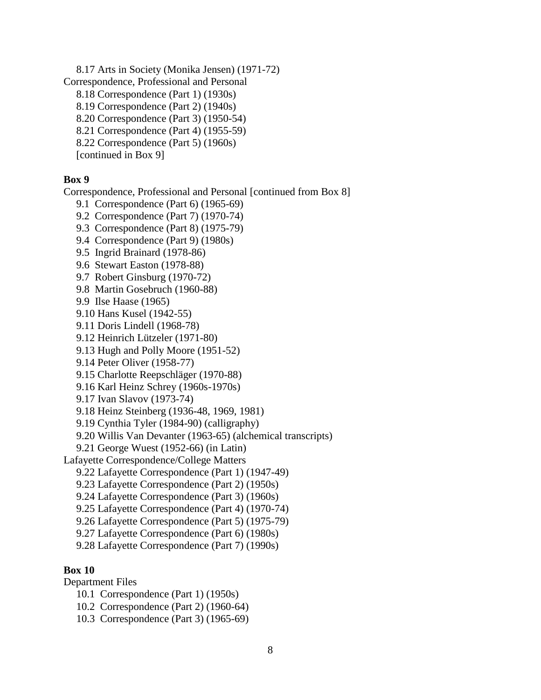8.17 Arts in Society (Monika Jensen) (1971-72) Correspondence, Professional and Personal 8.18 Correspondence (Part 1) (1930s) 8.19 Correspondence (Part 2) (1940s) 8.20 Correspondence (Part 3) (1950-54) 8.21 Correspondence (Part 4) (1955-59) 8.22 Correspondence (Part 5) (1960s)

[continued in Box 9]

# **Box 9**

Correspondence, Professional and Personal [continued from Box 8]

- 9.1 Correspondence (Part 6) (1965-69)
- 9.2 Correspondence (Part 7) (1970-74)
- 9.3 Correspondence (Part 8) (1975-79)
- 9.4 Correspondence (Part 9) (1980s)
- 9.5 Ingrid Brainard (1978-86)
- 9.6 Stewart Easton (1978-88)
- 9.7 Robert Ginsburg (1970-72)
- 9.8 Martin Gosebruch (1960-88)
- 9.9 Ilse Haase (1965)
- 9.10 Hans Kusel (1942-55)
- 9.11 Doris Lindell (1968-78)
- 9.12 Heinrich Lützeler (1971-80)
- 9.13 Hugh and Polly Moore (1951-52)
- 9.14 Peter Oliver (1958-77)
- 9.15 Charlotte Reepschläger (1970-88)
- 9.16 Karl Heinz Schrey (1960s-1970s)
- 9.17 Ivan Slavov (1973-74)
- 9.18 Heinz Steinberg (1936-48, 1969, 1981)
- 9.19 Cynthia Tyler (1984-90) (calligraphy)
- 9.20 Willis Van Devanter (1963-65) (alchemical transcripts)
- 9.21 George Wuest (1952-66) (in Latin)
- Lafayette Correspondence/College Matters
	- 9.22 Lafayette Correspondence (Part 1) (1947-49)
	- 9.23 Lafayette Correspondence (Part 2) (1950s)
	- 9.24 Lafayette Correspondence (Part 3) (1960s)
	- 9.25 Lafayette Correspondence (Part 4) (1970-74)
	- 9.26 Lafayette Correspondence (Part 5) (1975-79)
	- 9.27 Lafayette Correspondence (Part 6) (1980s)
	- 9.28 Lafayette Correspondence (Part 7) (1990s)

# **Box 10**

- Department Files
	- 10.1 Correspondence (Part 1) (1950s)
	- 10.2 Correspondence (Part 2) (1960-64)
	- 10.3 Correspondence (Part 3) (1965-69)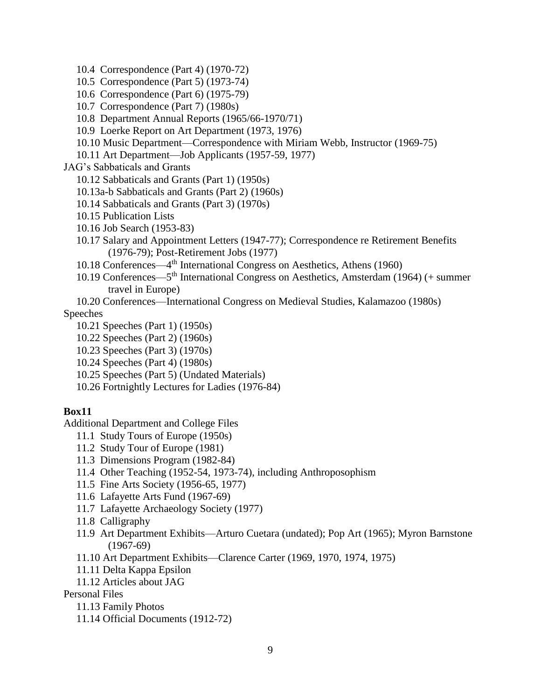- 10.4 Correspondence (Part 4) (1970-72)
- 10.5 Correspondence (Part 5) (1973-74)
- 10.6 Correspondence (Part 6) (1975-79)
- 10.7 Correspondence (Part 7) (1980s)
- 10.8 Department Annual Reports (1965/66-1970/71)
- 10.9 Loerke Report on Art Department (1973, 1976)
- 10.10 Music Department—Correspondence with Miriam Webb, Instructor (1969-75)
- 10.11 Art Department—Job Applicants (1957-59, 1977)

JAG's Sabbaticals and Grants

- 10.12 Sabbaticals and Grants (Part 1) (1950s)
- 10.13a-b Sabbaticals and Grants (Part 2) (1960s)
- 10.14 Sabbaticals and Grants (Part 3) (1970s)
- 10.15 Publication Lists
- 10.16 Job Search (1953-83)
- 10.17 Salary and Appointment Letters (1947-77); Correspondence re Retirement Benefits (1976-79); Post-Retirement Jobs (1977)
- 10.18 Conferences—4 th International Congress on Aesthetics, Athens (1960)
- 10.19 Conferences—5<sup>th</sup> International Congress on Aesthetics, Amsterdam (1964) (+ summer travel in Europe)
- 10.20 Conferences—International Congress on Medieval Studies, Kalamazoo (1980s) Speeches
	- 10.21 Speeches (Part 1) (1950s)
	- 10.22 Speeches (Part 2) (1960s)
	- 10.23 Speeches (Part 3) (1970s)
	- 10.24 Speeches (Part 4) (1980s)
	- 10.25 Speeches (Part 5) (Undated Materials)
	- 10.26 Fortnightly Lectures for Ladies (1976-84)

### **Box11**

Additional Department and College Files

- 11.1 Study Tours of Europe (1950s)
- 11.2 Study Tour of Europe (1981)
- 11.3 Dimensions Program (1982-84)
- 11.4 Other Teaching (1952-54, 1973-74), including Anthroposophism
- 11.5 Fine Arts Society (1956-65, 1977)
- 11.6 Lafayette Arts Fund (1967-69)
- 11.7 Lafayette Archaeology Society (1977)
- 11.8 Calligraphy
- 11.9 Art Department Exhibits—Arturo Cuetara (undated); Pop Art (1965); Myron Barnstone (1967-69)
- 11.10 Art Department Exhibits—Clarence Carter (1969, 1970, 1974, 1975)
- 11.11 Delta Kappa Epsilon
- 11.12 Articles about JAG
- Personal Files
	- 11.13 Family Photos
	- 11.14 Official Documents (1912-72)